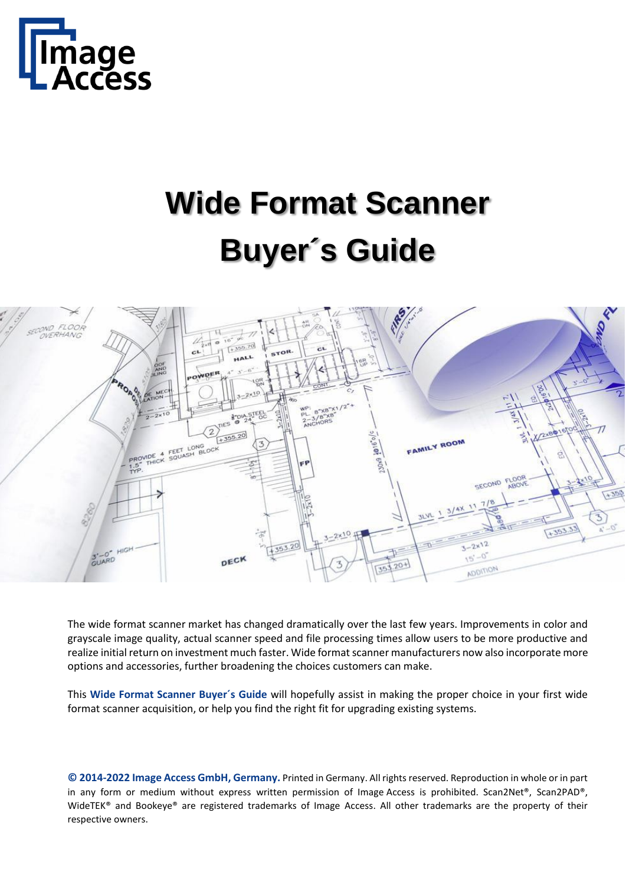

# **Wide Format Scanner Buyer´s Guide**



The wide format scanner market has changed dramatically over the last few years. Improvements in color and grayscale image quality, actual scanner speed and file processing times allow users to be more productive and realize initial return on investment much faster. Wide format scanner manufacturers now also incorporate more options and accessories, further broadening the choices customers can make.

This **Wide Format Scanner Buyer´s Guide** will hopefully assist in making the proper choice in your first wide format scanner acquisition, or help you find the right fit for upgrading existing systems.

**© 2014-2022 Image Access GmbH, Germany.** Printed in Germany. All rights reserved. Reproduction in whole or in part in any form or medium without express written permission of Image Access is prohibited. Scan2Net®, Scan2PAD®, WideTEK® and Bookeye® are registered trademarks of Image Access. All other trademarks are the property of their respective owners.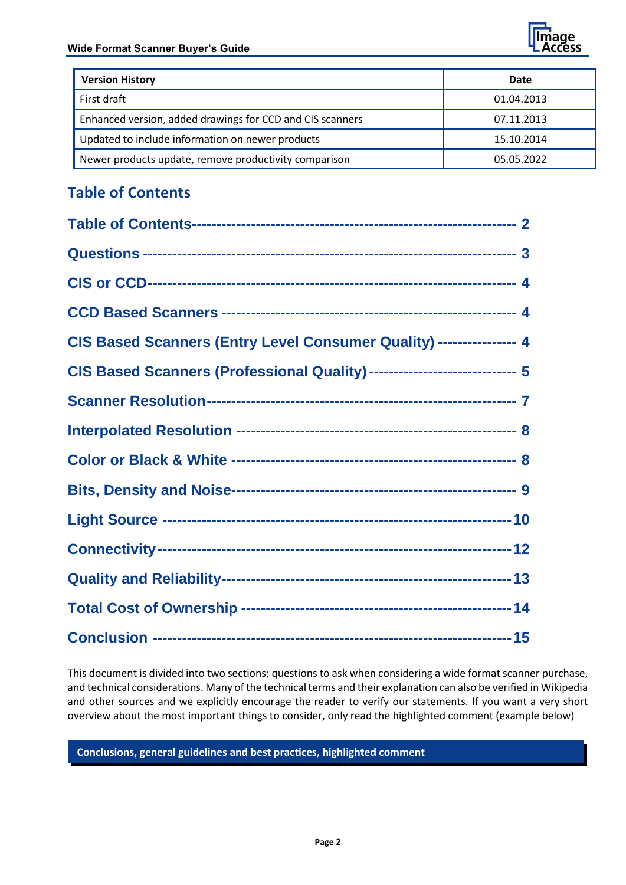

| <b>Version History</b>                                    | Date       |
|-----------------------------------------------------------|------------|
| First draft                                               | 01.04.2013 |
| Enhanced version, added drawings for CCD and CIS scanners | 07.11.2013 |
| Updated to include information on newer products          | 15.10.2014 |
| Newer products update, remove productivity comparison     | 05.05.2022 |

# <span id="page-1-0"></span>**Table of Contents**

| CIS Based Scanners (Entry Level Consumer Quality) ---------------- 4      |
|---------------------------------------------------------------------------|
| CIS Based Scanners (Professional Quality) ----------------------------- 5 |
|                                                                           |
|                                                                           |
|                                                                           |
|                                                                           |
|                                                                           |
|                                                                           |
|                                                                           |
|                                                                           |
|                                                                           |

This document is divided into two sections; questions to ask when considering a wide format scanner purchase, and technical considerations. Many of the technical terms and their explanation can also be verified in Wikipedia and other sources and we explicitly encourage the reader to verify our statements. If you want a very short overview about the most important things to consider, only read the highlighted comment (example below)

<span id="page-1-1"></span>**Conclusions, general guidelines and best practices, highlighted comment**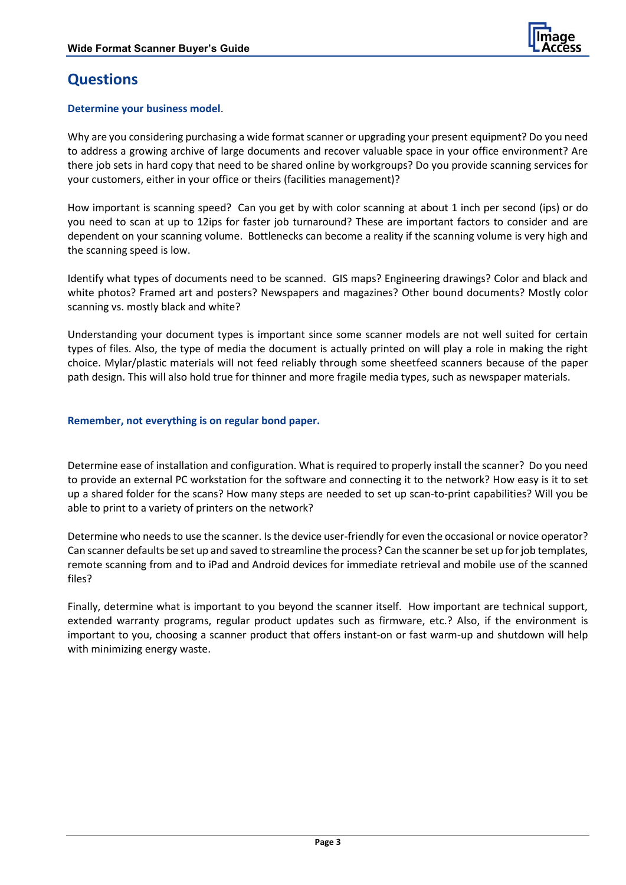

# **Questions**

#### **Determine your business model**.

Why are you considering purchasing a wide format scanner or upgrading your present equipment? Do you need to address a growing archive of large documents and recover valuable space in your office environment? Are there job sets in hard copy that need to be shared online by workgroups? Do you provide scanning services for your customers, either in your office or theirs (facilities management)?

How important is scanning speed? Can you get by with color scanning at about 1 inch per second (ips) or do you need to scan at up to 12ips for faster job turnaround? These are important factors to consider and are dependent on your scanning volume. Bottlenecks can become a reality if the scanning volume is very high and the scanning speed is low.

Identify what types of documents need to be scanned. GIS maps? Engineering drawings? Color and black and white photos? Framed art and posters? Newspapers and magazines? Other bound documents? Mostly color scanning vs. mostly black and white?

Understanding your document types is important since some scanner models are not well suited for certain types of files. Also, the type of media the document is actually printed on will play a role in making the right choice. Mylar/plastic materials will not feed reliably through some sheetfeed scanners because of the paper path design. This will also hold true for thinner and more fragile media types, such as newspaper materials.

#### **Remember, not everything is on regular bond paper.**

Determine ease of installation and configuration. What is required to properly install the scanner? Do you need to provide an external PC workstation for the software and connecting it to the network? How easy is it to set up a shared folder for the scans? How many steps are needed to set up scan-to-print capabilities? Will you be able to print to a variety of printers on the network?

Determine who needs to use the scanner. Is the device user-friendly for even the occasional or novice operator? Can scanner defaults be set up and saved to streamline the process? Can the scanner be set up for job templates, remote scanning from and to iPad and Android devices for immediate retrieval and mobile use of the scanned files?

<span id="page-2-0"></span>Finally, determine what is important to you beyond the scanner itself. How important are technical support, extended warranty programs, regular product updates such as firmware, etc.? Also, if the environment is important to you, choosing a scanner product that offers instant-on or fast warm-up and shutdown will help with minimizing energy waste.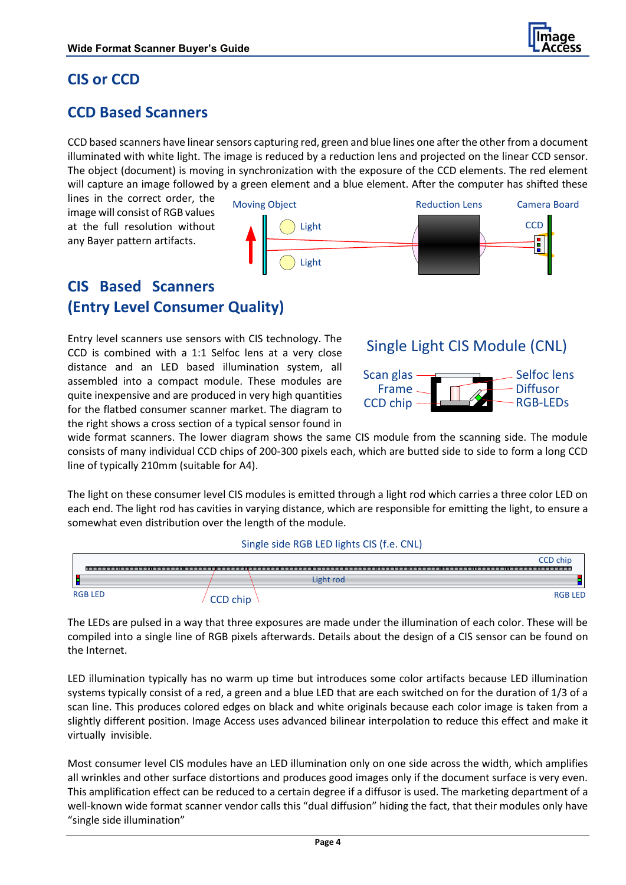

# **CIS or CCD**

## <span id="page-3-0"></span>**CCD Based Scanners**

CCD based scanners have linear sensors capturing red, green and blue lines one after the other from a document illuminated with white light. The image is reduced by a reduction lens and projected on the linear CCD sensor. The object (document) is moving in synchronization with the exposure of the CCD elements. The red element will capture an image followed by a green element and a blue element. After the computer has shifted these

lines in the correct order, the image will consist of RGB values at the full resolution without any Bayer pattern artifacts.



## <span id="page-3-1"></span>**CIS Based Scanners (Entry Level Consumer Quality)**

Entry level scanners use sensors with CIS technology. The CCD is combined with a 1:1 Selfoc lens at a very close distance and an LED based illumination system, all assembled into a compact module. These modules are quite inexpensive and are produced in very high quantities for the flatbed consumer scanner market. The diagram to the right shows a cross section of a typical sensor found in

# Single Light CIS Module (CNL)



wide format scanners. The lower diagram shows the same CIS module from the scanning side. The module consists of many individual CCD chips of 200-300 pixels each, which are butted side to side to form a long CCD line of typically 210mm (suitable for A4).

The light on these consumer level CIS modules is emitted through a light rod which carries a three color LED on each end. The light rod has cavities in varying distance, which are responsible for emitting the light, to ensure a somewhat even distribution over the length of the module.



The LEDs are pulsed in a way that three exposures are made under the illumination of each color. These will be compiled into a single line of RGB pixels afterwards. Details about the design of a CIS sensor can be found on the Internet.

LED illumination typically has no warm up time but introduces some color artifacts because LED illumination systems typically consist of a red, a green and a blue LED that are each switched on for the duration of 1/3 of a scan line. This produces colored edges on black and white originals because each color image is taken from a slightly different position. Image Access uses advanced bilinear interpolation to reduce this effect and make it virtually invisible.

Most consumer level CIS modules have an LED illumination only on one side across the width, which amplifies all wrinkles and other surface distortions and produces good images only if the document surface is very even. This amplification effect can be reduced to a certain degree if a diffusor is used. The marketing department of a well-known wide format scanner vendor calls this "dual diffusion" hiding the fact, that their modules only have "single side illumination"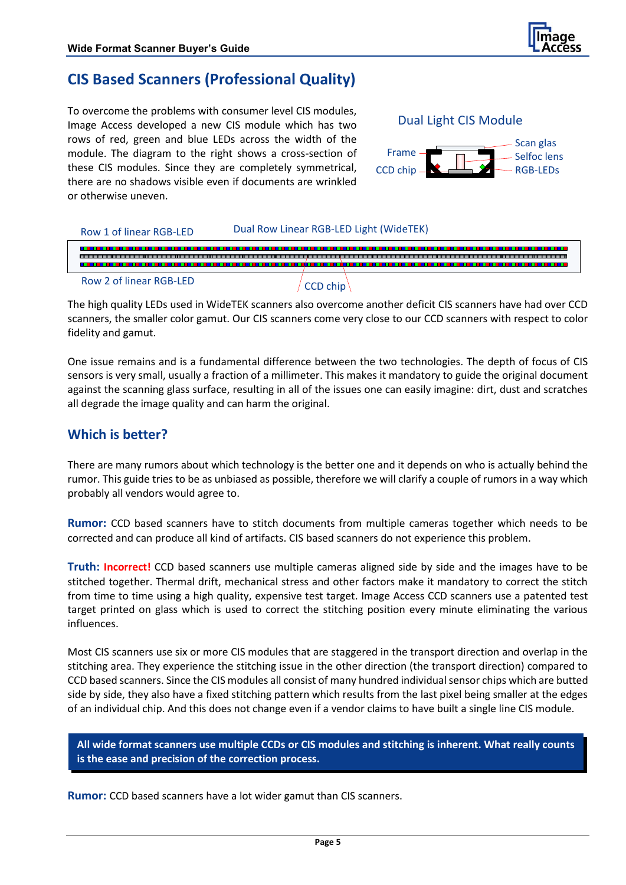

## <span id="page-4-0"></span>**CIS Based Scanners (Professional Quality)**

To overcome the problems with consumer level CIS modules, Image Access developed a new CIS module which has two rows of red, green and blue LEDs across the width of the module. The diagram to the right shows a cross-section of these CIS modules. Since they are completely symmetrical, there are no shadows visible even if documents are wrinkled or otherwise uneven.



Dual Light CIS Module



The high quality LEDs used in WideTEK scanners also overcome another deficit CIS scanners have had over CCD scanners, the smaller color gamut. Our CIS scanners come very close to our CCD scanners with respect to color fidelity and gamut.

One issue remains and is a fundamental difference between the two technologies. The depth of focus of CIS sensors is very small, usually a fraction of a millimeter. This makes it mandatory to guide the original document against the scanning glass surface, resulting in all of the issues one can easily imagine: dirt, dust and scratches all degrade the image quality and can harm the original.

## **Which is better?**

There are many rumors about which technology is the better one and it depends on who is actually behind the rumor. This guide tries to be as unbiased as possible, therefore we will clarify a couple of rumors in a way which probably all vendors would agree to.

**Rumor:** CCD based scanners have to stitch documents from multiple cameras together which needs to be corrected and can produce all kind of artifacts. CIS based scanners do not experience this problem.

**Truth: Incorrect!** CCD based scanners use multiple cameras aligned side by side and the images have to be stitched together. Thermal drift, mechanical stress and other factors make it mandatory to correct the stitch from time to time using a high quality, expensive test target. Image Access CCD scanners use a patented test target printed on glass which is used to correct the stitching position every minute eliminating the various influences.

Most CIS scanners use six or more CIS modules that are staggered in the transport direction and overlap in the stitching area. They experience the stitching issue in the other direction (the transport direction) compared to CCD based scanners. Since the CIS modules all consist of many hundred individual sensor chips which are butted side by side, they also have a fixed stitching pattern which results from the last pixel being smaller at the edges of an individual chip. And this does not change even if a vendor claims to have built a single line CIS module.

**All wide format scanners use multiple CCDs or CIS modules and stitching is inherent. What really counts is the ease and precision of the correction process.**

**Rumor:** CCD based scanners have a lot wider gamut than CIS scanners.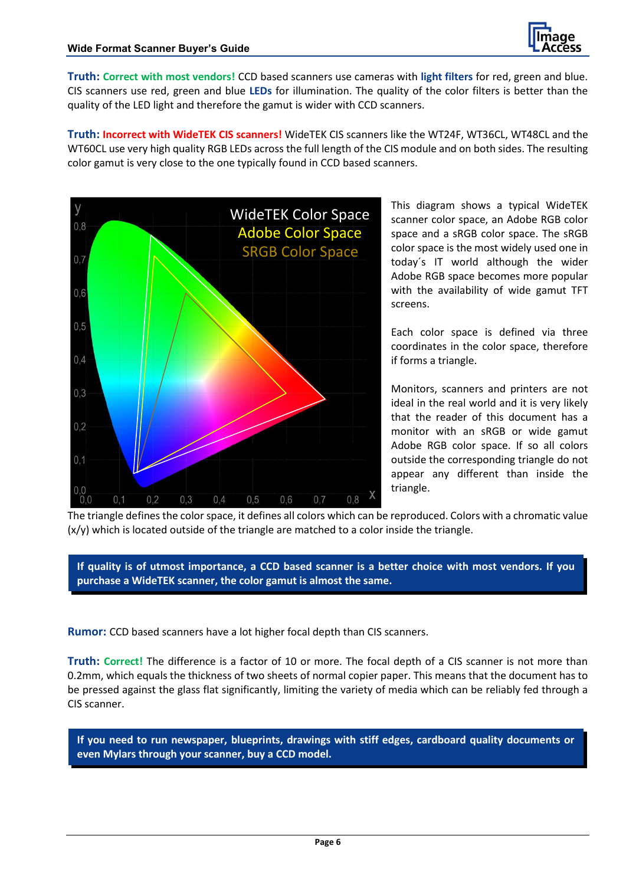

**Truth: Correct with most vendors!** CCD based scanners use cameras with **light filters** for red, green and blue. CIS scanners use red, green and blue **LEDs** for illumination. The quality of the color filters is better than the quality of the LED light and therefore the gamut is wider with CCD scanners.

**Truth: Incorrect with WideTEK CIS scanners!** WideTEK CIS scanners like the WT24F, WT36CL, WT48CL and the WT60CL use very high quality RGB LEDs across the full length of the CIS module and on both sides. The resulting color gamut is very close to the one typically found in CCD based scanners.



This diagram shows a typical WideTEK scanner color space, an Adobe RGB color space and a sRGB color space. The sRGB color space is the most widely used one in today´s IT world although the wider Adobe RGB space becomes more popular with the availability of wide gamut TFT screens.

Each color space is defined via three coordinates in the color space, therefore if forms a triangle.

Monitors, scanners and printers are not ideal in the real world and it is very likely that the reader of this document has a monitor with an sRGB or wide gamut Adobe RGB color space. If so all colors outside the corresponding triangle do not appear any different than inside the triangle.

The triangle defines the color space, it defines all colors which can be reproduced. Colors with a chromatic value  $(x/y)$  which is located outside of the triangle are matched to a color inside the triangle.

**If quality is of utmost importance, a CCD based scanner is a better choice with most vendors. If you purchase a WideTEK scanner, the color gamut is almost the same.**

**Rumor:** CCD based scanners have a lot higher focal depth than CIS scanners.

**Truth: Correct!** The difference is a factor of 10 or more. The focal depth of a CIS scanner is not more than 0.2mm, which equals the thickness of two sheets of normal copier paper. This means that the document has to be pressed against the glass flat significantly, limiting the variety of media which can be reliably fed through a CIS scanner.

**If you need to run newspaper, blueprints, drawings with stiff edges, cardboard quality documents or even Mylars through your scanner, buy a CCD model.**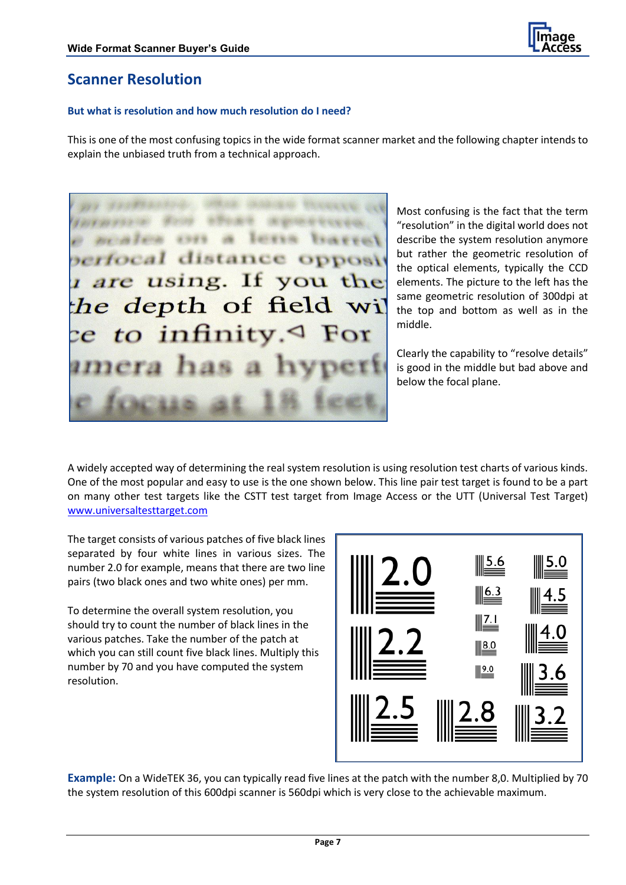

## <span id="page-6-0"></span>**Scanner Resolution**

#### **But what is resolution and how much resolution do I need?**

This is one of the most confusing topics in the wide format scanner market and the following chapter intends to explain the unbiased truth from a technical approach.

prima prima prima prima prima prima prima prima prima prima prima prima prima prima prima prima prima prima pr **Service Venevent** *erfocal* distance opposit are using. If you the the depth of field wil  $ce$  to infinity. $\triangleleft$  For

Most confusing is the fact that the term "resolution" in the digital world does not describe the system resolution anymore but rather the geometric resolution of the optical elements, typically the CCD elements. The picture to the left has the same geometric resolution of 300dpi at the top and bottom as well as in the middle.

Clearly the capability to "resolve details" is good in the middle but bad above and below the focal plane.

A widely accepted way of determining the real system resolution is using resolution test charts of various kinds. One of the most popular and easy to use is the one shown below. This line pair test target is found to be a part on many other test targets like the CSTT test target from Image Access or the UTT (Universal Test Target) [www.universaltesttarget.com](http://www.universaltesttarget.com/)

The target consists of various patches of five black lines separated by four white lines in various sizes. The number 2.0 for example, means that there are two line pairs (two black ones and two white ones) per mm.

To determine the overall system resolution, you should try to count the number of black lines in the various patches. Take the number of the patch at which you can still count five black lines. Multiply this number by 70 and you have computed the system resolution.



**Example:** On a WideTEK 36, you can typically read five lines at the patch with the number 8,0. Multiplied by 70 the system resolution of this 600dpi scanner is 560dpi which is very close to the achievable maximum.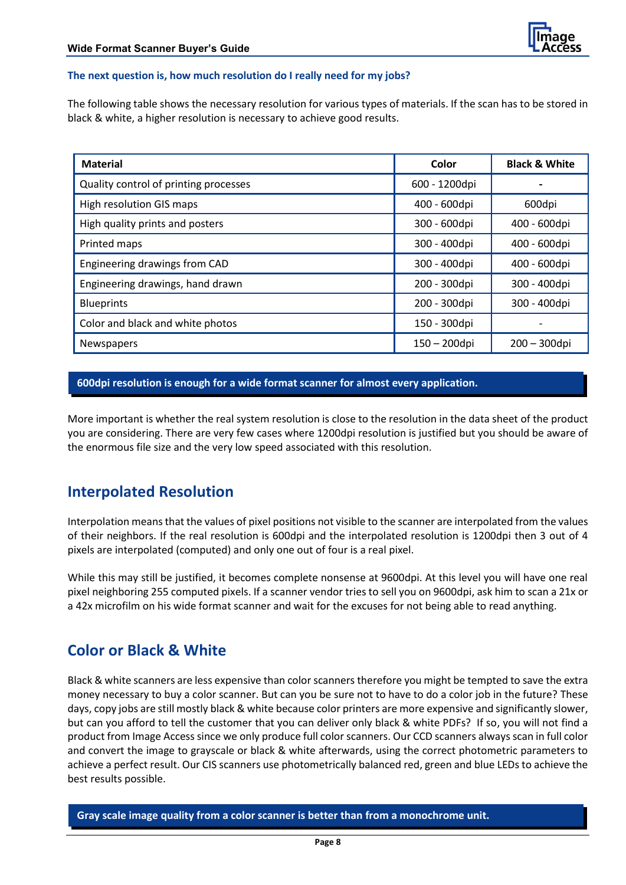#### **The next question is, how much resolution do I really need for my jobs?**

The following table shows the necessary resolution for various types of materials. If the scan has to be stored in black & white, a higher resolution is necessary to achieve good results.

| <b>Material</b>                       | Color         | <b>Black &amp; White</b> |
|---------------------------------------|---------------|--------------------------|
| Quality control of printing processes | 600 - 1200dpi |                          |
| <b>High resolution GIS maps</b>       | 400 - 600dpi  | 600dpi                   |
| High quality prints and posters       | 300 - 600dpi  | 400 - 600dpi             |
| Printed maps                          | 300 - 400dpi  | 400 - 600dpi             |
| Engineering drawings from CAD         | 300 - 400dpi  | 400 - 600dpi             |
| Engineering drawings, hand drawn      | 200 - 300dpi  | 300 - 400dpi             |
| <b>Blueprints</b>                     | 200 - 300dpi  | 300 - 400dpi             |
| Color and black and white photos      | 150 - 300dpi  |                          |
| <b>Newspapers</b>                     | 150 - 200dpi  | $200 - 300$ dpi          |

#### **600dpi resolution is enough for a wide format scanner for almost every application.**

More important is whether the real system resolution is close to the resolution in the data sheet of the product you are considering. There are very few cases where 1200dpi resolution is justified but you should be aware of the enormous file size and the very low speed associated with this resolution.

## <span id="page-7-0"></span>**Interpolated Resolution**

Interpolation means that the values of pixel positions not visible to the scanner are interpolated from the values of their neighbors. If the real resolution is 600dpi and the interpolated resolution is 1200dpi then 3 out of 4 pixels are interpolated (computed) and only one out of four is a real pixel.

While this may still be justified, it becomes complete nonsense at 9600dpi. At this level you will have one real pixel neighboring 255 computed pixels. If a scanner vendor tries to sell you on 9600dpi, ask him to scan a 21x or a 42x microfilm on his wide format scanner and wait for the excuses for not being able to read anything.

## <span id="page-7-1"></span>**Color or Black & White**

Black & white scanners are less expensive than color scanners therefore you might be tempted to save the extra money necessary to buy a color scanner. But can you be sure not to have to do a color job in the future? These days, copy jobs are still mostly black & white because color printers are more expensive and significantly slower, but can you afford to tell the customer that you can deliver only black & white PDFs? If so, you will not find a product from Image Access since we only produce full color scanners. Our CCD scanners always scan in full color and convert the image to grayscale or black & white afterwards, using the correct photometric parameters to achieve a perfect result. Our CIS scanners use photometrically balanced red, green and blue LEDs to achieve the best results possible.

**Gray scale image quality from a color scanner is better than from a monochrome unit.**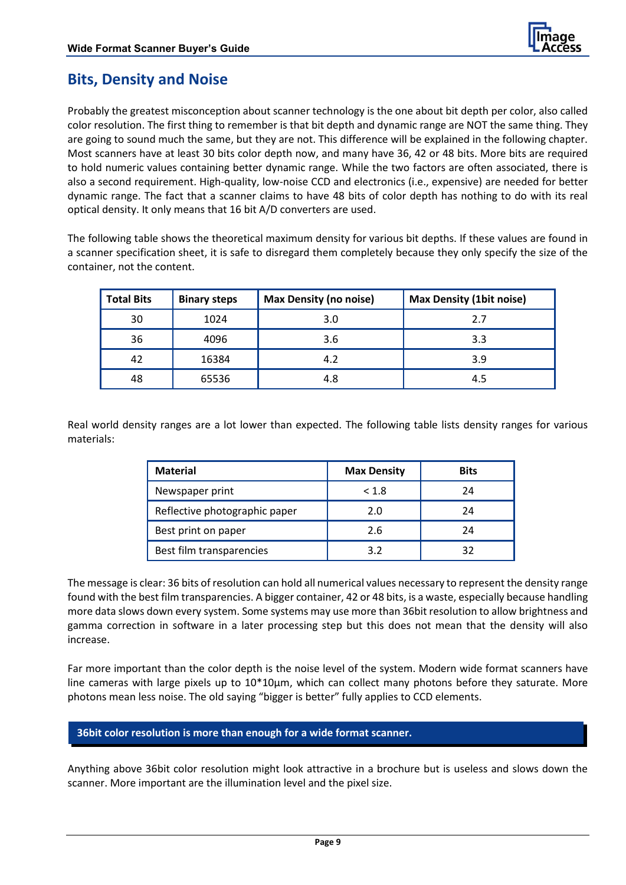

## <span id="page-8-0"></span>**Bits, Density and Noise**

Probably the greatest misconception about scanner technology is the one about bit depth per color, also called color resolution. The first thing to remember is that bit depth and dynamic range are NOT the same thing. They are going to sound much the same, but they are not. This difference will be explained in the following chapter. Most scanners have at least 30 bits color depth now, and many have 36, 42 or 48 bits. More bits are required to hold numeric values containing better dynamic range. While the two factors are often associated, there is also a second requirement. High-quality, low-noise CCD and electronics (i.e., expensive) are needed for better dynamic range. The fact that a scanner claims to have 48 bits of color depth has nothing to do with its real optical density. It only means that 16 bit A/D converters are used.

The following table shows the theoretical maximum density for various bit depths. If these values are found in a scanner specification sheet, it is safe to disregard them completely because they only specify the size of the container, not the content.

| <b>Total Bits</b> | <b>Binary steps</b> | <b>Max Density (no noise)</b> | <b>Max Density (1bit noise)</b> |
|-------------------|---------------------|-------------------------------|---------------------------------|
| 30                | 1024                | 3.0                           | 2.7                             |
| 36                | 4096                | 3.6                           | 3.3                             |
| 42                | 16384               | 4.2                           | 3.9                             |
| 48                | 65536               | 4.8                           | 4.5                             |

Real world density ranges are a lot lower than expected. The following table lists density ranges for various materials:

| <b>Material</b>               | <b>Max Density</b> | <b>Bits</b> |
|-------------------------------|--------------------|-------------|
| Newspaper print               | < 1.8              | 24          |
| Reflective photographic paper | 2.0                | 24          |
| Best print on paper           | 2.6                | 24          |
| Best film transparencies      | 39                 |             |

The message is clear: 36 bits of resolution can hold all numerical values necessary to represent the density range found with the best film transparencies. A bigger container, 42 or 48 bits, is a waste, especially because handling more data slows down every system. Some systems may use more than 36bit resolution to allow brightness and gamma correction in software in a later processing step but this does not mean that the density will also increase.

Far more important than the color depth is the noise level of the system. Modern wide format scanners have line cameras with large pixels up to  $10*10\mu m$ , which can collect many photons before they saturate. More photons mean less noise. The old saying "bigger is better" fully applies to CCD elements.

**36bit color resolution is more than enough for a wide format scanner.** 

Anything above 36bit color resolution might look attractive in a brochure but is useless and slows down the scanner. More important are the illumination level and the pixel size.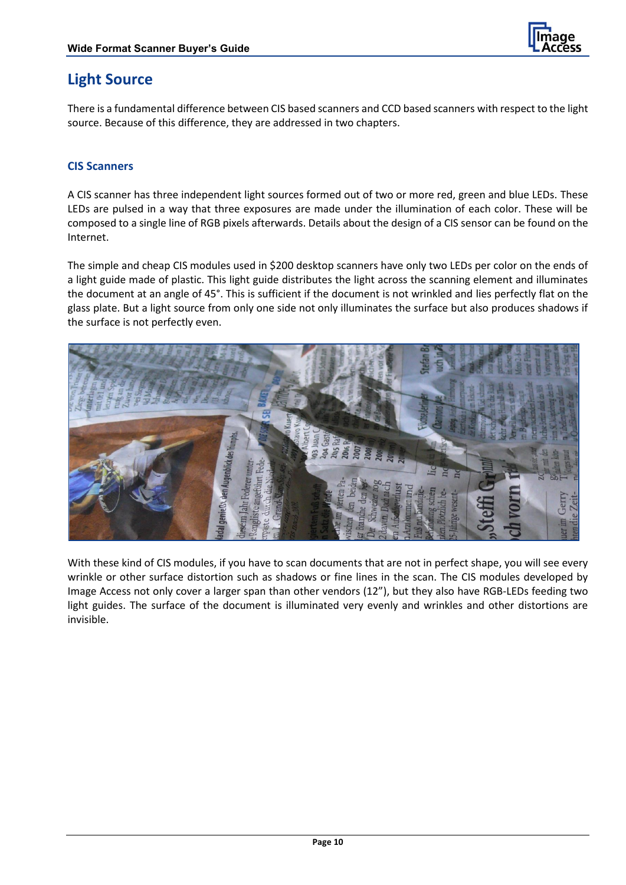

## <span id="page-9-0"></span>**Light Source**

There is a fundamental difference between CIS based scanners and CCD based scanners with respect to the light source. Because of this difference, they are addressed in two chapters.

#### **CIS Scanners**

A CIS scanner has three independent light sources formed out of two or more red, green and blue LEDs. These LEDs are pulsed in a way that three exposures are made under the illumination of each color. These will be composed to a single line of RGB pixels afterwards. Details about the design of a CIS sensor can be found on the Internet.

The simple and cheap CIS modules used in \$200 desktop scanners have only two LEDs per color on the ends of a light guide made of plastic. This light guide distributes the light across the scanning element and illuminates the document at an angle of 45°. This is sufficient if the document is not wrinkled and lies perfectly flat on the glass plate. But a light source from only one side not only illuminates the surface but also produces shadows if the surface is not perfectly even.



With these kind of CIS modules, if you have to scan documents that are not in perfect shape, you will see every wrinkle or other surface distortion such as shadows or fine lines in the scan. The CIS modules developed by Image Access not only cover a larger span than other vendors (12"), but they also have RGB-LEDs feeding two light guides. The surface of the document is illuminated very evenly and wrinkles and other distortions are invisible.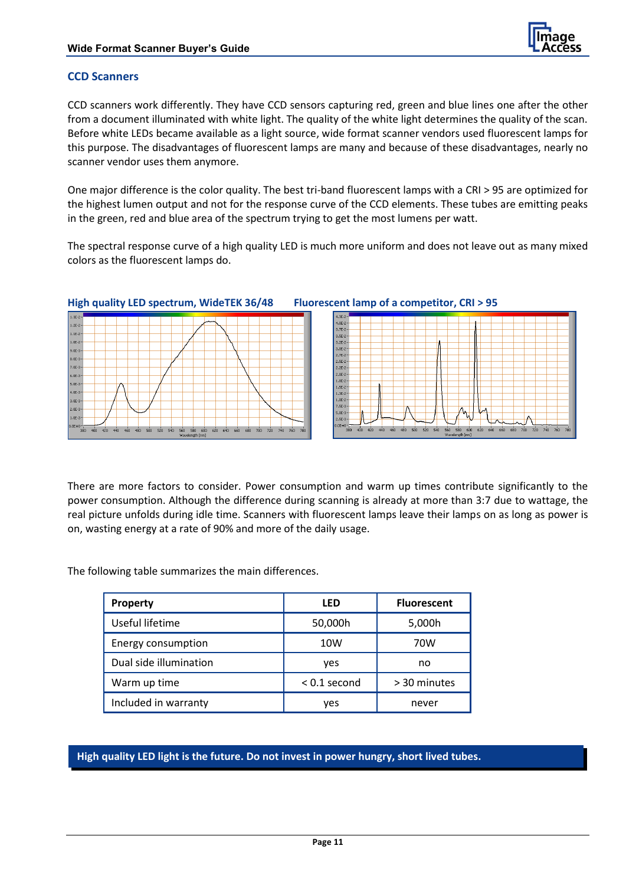

#### **CCD Scanners**

CCD scanners work differently. They have CCD sensors capturing red, green and blue lines one after the other from a document illuminated with white light. The quality of the white light determines the quality of the scan. Before white LEDs became available as a light source, wide format scanner vendors used fluorescent lamps for this purpose. The disadvantages of fluorescent lamps are many and because of these disadvantages, nearly no scanner vendor uses them anymore.

One major difference is the color quality. The best tri-band fluorescent lamps with a CRI > 95 are optimized for the highest lumen output and not for the response curve of the CCD elements. These tubes are emitting peaks in the green, red and blue area of the spectrum trying to get the most lumens per watt.

The spectral response curve of a high quality LED is much more uniform and does not leave out as many mixed colors as the fluorescent lamps do.



#### **High quality LED spectrum, WideTEK 36/48 Fluorescent lamp of a competitor, CRI > 95**



There are more factors to consider. Power consumption and warm up times contribute significantly to the power consumption. Although the difference during scanning is already at more than 3:7 due to wattage, the real picture unfolds during idle time. Scanners with fluorescent lamps leave their lamps on as long as power is on, wasting energy at a rate of 90% and more of the daily usage.

The following table summarizes the main differences.

| <b>Property</b>        | LED            | <b>Fluorescent</b> |
|------------------------|----------------|--------------------|
| Useful lifetime        | 50,000h        | 5,000h             |
| Energy consumption     | 10W            | 70W                |
| Dual side illumination | yes            | no                 |
| Warm up time           | $< 0.1$ second | > 30 minutes       |
| Included in warranty   | ves            | never              |

**High quality LED light is the future. Do not invest in power hungry, short lived tubes.**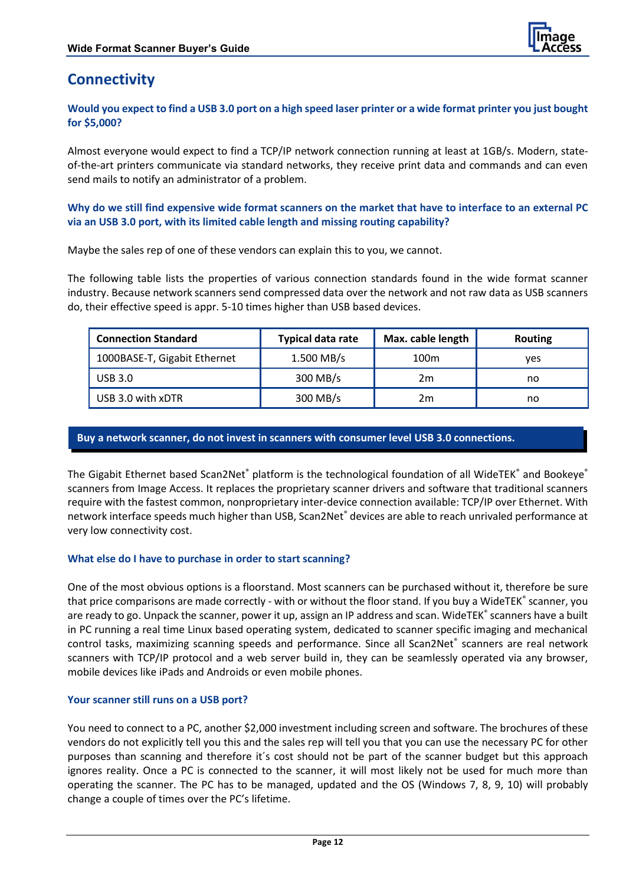

## <span id="page-11-0"></span>**Connectivity**

**Would you expect to find a USB 3.0 port on a high speed laser printer or a wide format printer you just bought for \$5,000?** 

Almost everyone would expect to find a TCP/IP network connection running at least at 1GB/s. Modern, stateof-the-art printers communicate via standard networks, they receive print data and commands and can even send mails to notify an administrator of a problem.

**Why do we still find expensive wide format scanners on the market that have to interface to an external PC via an USB 3.0 port, with its limited cable length and missing routing capability?** 

Maybe the sales rep of one of these vendors can explain this to you, we cannot.

The following table lists the properties of various connection standards found in the wide format scanner industry. Because network scanners send compressed data over the network and not raw data as USB scanners do, their effective speed is appr. 5-10 times higher than USB based devices.

| <b>Connection Standard</b>   | <b>Typical data rate</b> | Max. cable length | <b>Routing</b> |
|------------------------------|--------------------------|-------------------|----------------|
| 1000BASE-T, Gigabit Ethernet | $1.500$ MB/s             | 100m              | ves            |
| USB 3.0                      | 300 MB/s                 | 2m                | no             |
| USB 3.0 with xDTR            | 300 MB/s                 | 2m                | no             |

#### **Buy a network scanner, do not invest in scanners with consumer level USB 3.0 connections.**

The Gigabit Ethernet based Scan2Net<sup>®</sup> platform is the technological foundation of all WideTEK<sup>®</sup> and Bookeye<sup>®</sup> scanners from Image Access. It replaces the proprietary scanner drivers and software that traditional scanners require with the fastest common, nonproprietary inter-device connection available: TCP/IP over Ethernet. With network interface speeds much higher than USB, Scan2Net® devices are able to reach unrivaled performance at very low connectivity cost.

#### **What else do I have to purchase in order to start scanning?**

One of the most obvious options is a floorstand. Most scanners can be purchased without it, therefore be sure that price comparisons are made correctly - with or without the floor stand. If you buy a WideTEK<sup>®</sup> scanner, you are ready to go. Unpack the scanner, power it up, assign an IP address and scan. WideTEK<sup>®</sup> scanners have a built in PC running a real time Linux based operating system, dedicated to scanner specific imaging and mechanical control tasks, maximizing scanning speeds and performance. Since all Scan2Net® scanners are real network scanners with TCP/IP protocol and a web server build in, they can be seamlessly operated via any browser, mobile devices like iPads and Androids or even mobile phones.

#### **Your scanner still runs on a USB port?**

You need to connect to a PC, another \$2,000 investment including screen and software. The brochures of these vendors do not explicitly tell you this and the sales rep will tell you that you can use the necessary PC for other purposes than scanning and therefore it´s cost should not be part of the scanner budget but this approach ignores reality. Once a PC is connected to the scanner, it will most likely not be used for much more than operating the scanner. The PC has to be managed, updated and the OS (Windows 7, 8, 9, 10) will probably change a couple of times over the PC's lifetime.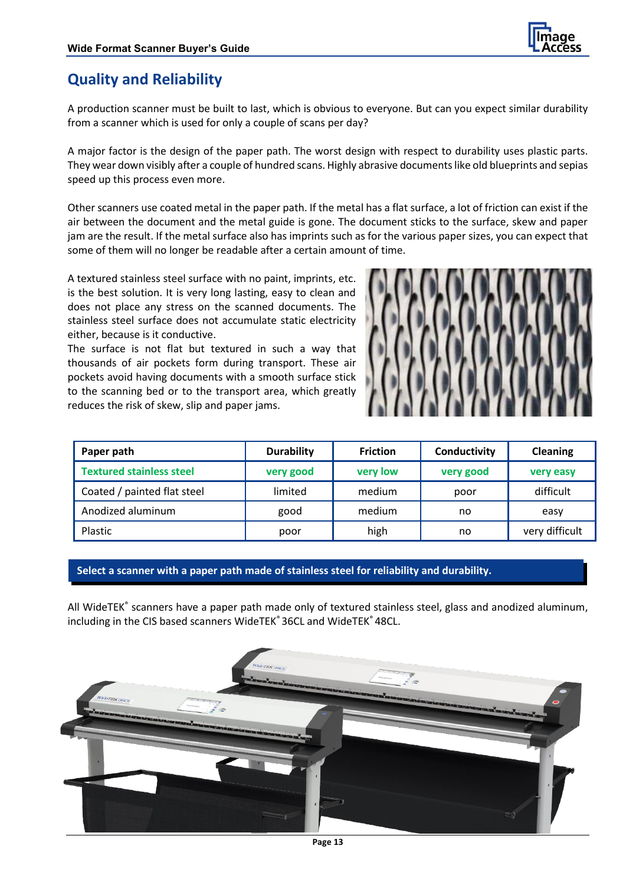

## <span id="page-12-0"></span>**Quality and Reliability**

A production scanner must be built to last, which is obvious to everyone. But can you expect similar durability from a scanner which is used for only a couple of scans per day?

A major factor is the design of the paper path. The worst design with respect to durability uses plastic parts. They wear down visibly after a couple of hundred scans. Highly abrasive documents like old blueprints and sepias speed up this process even more.

Other scanners use coated metal in the paper path. If the metal has a flat surface, a lot of friction can exist if the air between the document and the metal guide is gone. The document sticks to the surface, skew and paper jam are the result. If the metal surface also has imprints such as for the various paper sizes, you can expect that some of them will no longer be readable after a certain amount of time.

A textured stainless steel surface with no paint, imprints, etc. is the best solution. It is very long lasting, easy to clean and does not place any stress on the scanned documents. The stainless steel surface does not accumulate static electricity either, because is it conductive.

The surface is not flat but textured in such a way that thousands of air pockets form during transport. These air pockets avoid having documents with a smooth surface stick to the scanning bed or to the transport area, which greatly reduces the risk of skew, slip and paper jams.



| Paper path                      | <b>Durability</b> | <b>Friction</b> | Conductivity | <b>Cleaning</b> |
|---------------------------------|-------------------|-----------------|--------------|-----------------|
| <b>Textured stainless steel</b> | very good         | very low        | very good    | very easy       |
| Coated / painted flat steel     | limited           | medium          | poor         | difficult       |
| Anodized aluminum               | good              | medium          | no           | easy            |
| Plastic                         | poor              | high            | no           | very difficult  |

#### **Select a scanner with a paper path made of stainless steel for reliability and durability.**

All WideTEK<sup>®</sup> scanners have a paper path made only of textured stainless steel, glass and anodized aluminum, including in the CIS based scanners WideTEK® 36CL and WideTEK® 48CL.

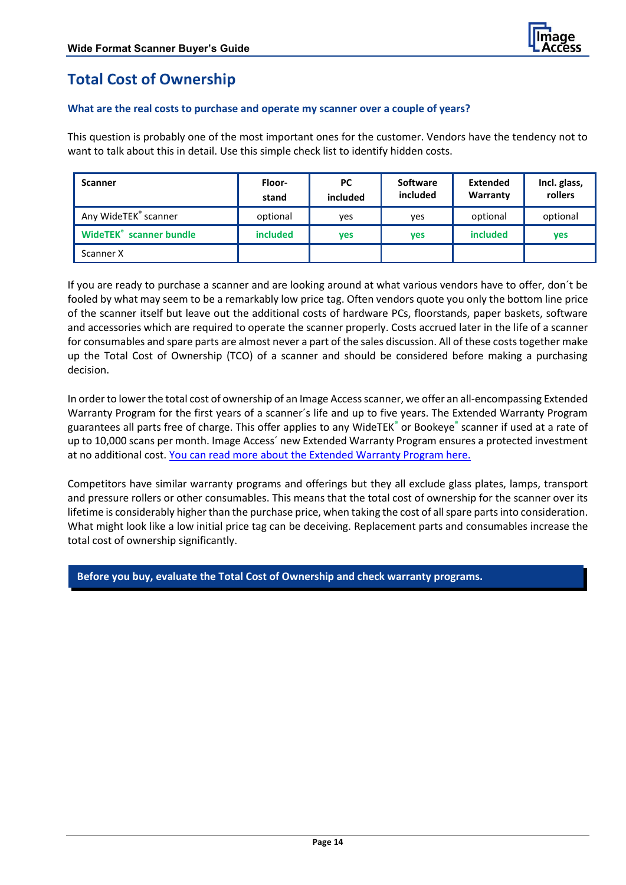

# <span id="page-13-0"></span>**Total Cost of Ownership**

#### **What are the real costs to purchase and operate my scanner over a couple of years?**

This question is probably one of the most important ones for the customer. Vendors have the tendency not to want to talk about this in detail. Use this simple check list to identify hidden costs.

| <b>Scanner</b>                            | Floor-<br>stand | <b>PC</b><br>included | <b>Software</b><br>included | Extended<br>Warranty | Incl. glass,<br>rollers |
|-------------------------------------------|-----------------|-----------------------|-----------------------------|----------------------|-------------------------|
| Any WideTEK® scanner                      | optional        | ves                   | ves                         | optional             | optional                |
| <b>WideTEK<sup>®</sup></b> scanner bundle | <i>included</i> | <b>ves</b>            | ves                         | <i>included</i>      | ves                     |
| Scanner X                                 |                 |                       |                             |                      |                         |

If you are ready to purchase a scanner and are looking around at what various vendors have to offer, don´t be fooled by what may seem to be a remarkably low price tag. Often vendors quote you only the bottom line price of the scanner itself but leave out the additional costs of hardware PCs, floorstands, paper baskets, software and accessories which are required to operate the scanner properly. Costs accrued later in the life of a scanner for consumables and spare parts are almost never a part of the sales discussion. All of these costs together make up the Total Cost of Ownership (TCO) of a scanner and should be considered before making a purchasing decision.

In order to lower the total cost of ownership of an Image Access scanner, we offer an all-encompassing Extended Warranty Program for the first years of a scanner´s life and up to five years. The Extended Warranty Program guarantees all parts free of charge. This offer applies to any WideTEK**®** or Bookeye**®** scanner if used at a rate of up to 10,000 scans per month. Image Access´ new Extended Warranty Program ensures a protected investment at no additional cost. You can read more [about the Extended Warranty Program here.](http://portal.imageaccess.de/IACExtendedWarrantyProgram.pdf)

Competitors have similar warranty programs and offerings but they all exclude glass plates, lamps, transport and pressure rollers or other consumables. This means that the total cost of ownership for the scanner over its lifetime is considerably higher than the purchase price, when taking the cost of all spare parts into consideration. What might look like a low initial price tag can be deceiving. Replacement parts and consumables increase the total cost of ownership significantly.

**Before you buy, evaluate the Total Cost of Ownership and check warranty programs.**